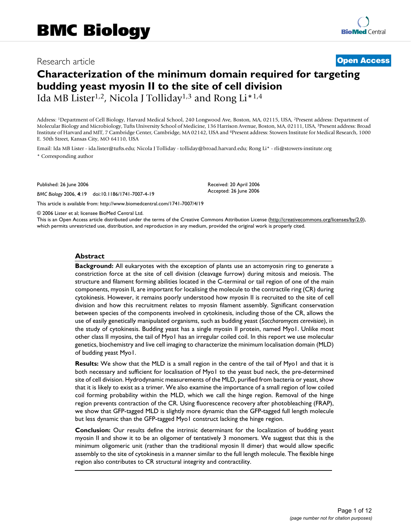# Research article **[Open Access](http://www.biomedcentral.com/info/about/charter/)**

# **Characterization of the minimum domain required for targeting budding yeast myosin II to the site of cell division**

Ida MB Lister<sup>1,2</sup>, Nicola J Tolliday<sup>1,3</sup> and Rong Li<sup>\*1,4</sup>

Address: 1Department of Cell Biology, Harvard Medical School, 240 Longwood Ave, Boston, MA, 02115, USA, 2Present address: Department of Molecular Biology and Microbiology, Tufts University School of Medicine, 136 Harrison Avenue, Boston, MA, 02111, USA, 3Present address: Broad Institute of Harvard and MIT, 7 Cambridge Center, Cambridge, MA 02142, USA and 4Present address: Stowers Institute for Medical Research, 1000 E. 50th Street, Kansas City, MO 64110, USA

Email: Ida MB Lister - ida.lister@tufts.edu; Nicola J Tolliday - tolliday@broad.harvard.edu; Rong Li\* - rli@stowers-institute.org \* Corresponding author

Published: 26 June 2006

*BMC Biology* 2006, **4**:19 doi:10.1186/1741-7007-4-19

[This article is available from: http://www.biomedcentral.com/1741-7007/4/19](http://www.biomedcentral.com/1741-7007/4/19)

© 2006 Lister et al; licensee BioMed Central Ltd.

This is an Open Access article distributed under the terms of the Creative Commons Attribution License [\(http://creativecommons.org/licenses/by/2.0\)](http://creativecommons.org/licenses/by/2.0), which permits unrestricted use, distribution, and reproduction in any medium, provided the original work is properly cited.

Received: 20 April 2006 Accepted: 26 June 2006

#### **Abstract**

**Background:** All eukaryotes with the exception of plants use an actomyosin ring to generate a constriction force at the site of cell division (cleavage furrow) during mitosis and meiosis. The structure and filament forming abilities located in the C-terminal or tail region of one of the main components, myosin II, are important for localising the molecule to the contractile ring (CR) during cytokinesis. However, it remains poorly understood how myosin II is recruited to the site of cell division and how this recruitment relates to myosin filament assembly. Significant conservation between species of the components involved in cytokinesis, including those of the CR, allows the use of easily genetically manipulated organisms, such as budding yeast (*Saccharomyces cerevisiae*), in the study of cytokinesis. Budding yeast has a single myosin II protein, named Myo1. Unlike most other class II myosins, the tail of Myo1 has an irregular coiled coil. In this report we use molecular genetics, biochemistry and live cell imaging to characterize the minimum localisation domain (MLD) of budding yeast Myo1.

**Results:** We show that the MLD is a small region in the centre of the tail of Myo1 and that it is both necessary and sufficient for localisation of Myo1 to the yeast bud neck, the pre-determined site of cell division. Hydrodynamic measurements of the MLD, purified from bacteria or yeast, show that it is likely to exist as a trimer. We also examine the importance of a small region of low coiled coil forming probability within the MLD, which we call the hinge region. Removal of the hinge region prevents contraction of the CR. Using fluorescence recovery after photobleaching (FRAP), we show that GFP-tagged MLD is slightly more dynamic than the GFP-tagged full length molecule but less dynamic than the GFP-tagged Myo1 construct lacking the hinge region.

**Conclusion:** Our results define the intrinsic determinant for the localization of budding yeast myosin II and show it to be an oligomer of tentatively 3 monomers. We suggest that this is the minimum oligomeric unit (rather than the traditional myosin II dimer) that would allow specific assembly to the site of cytokinesis in a manner similar to the full length molecule. The flexible hinge region also contributes to CR structural integrity and contractility.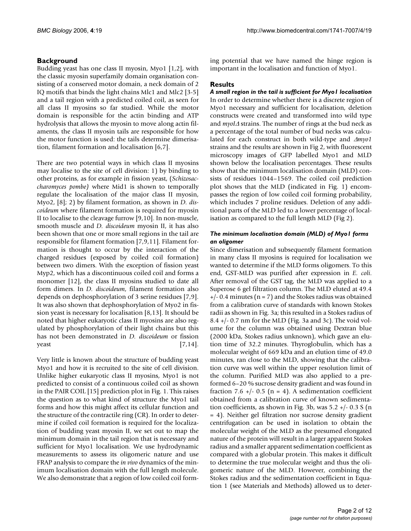# **Background**

Budding yeast has one class II myosin, Myo1 [1,2], with the classic myosin superfamily domain organisation consisting of a conserved motor domain, a neck domain of 2 IQ motifs that binds the light chains Mlc1 and Mlc2 [3-5] and a tail region with a predicted coiled coil, as seen for all class II myosins so far studied. While the motor domain is responsible for the actin binding and ATP hydrolysis that allows the myosin to move along actin filaments, the class II myosin tails are responsible for how the motor function is used: the tails determine dimerisation, filament formation and localisation [6,7].

There are two potential ways in which class II myosins may localise to the site of cell division: 1) by binding to other proteins, as for example in fission yeast, (*Schizosaccharomyces pombe)* where Mid1 is shown to temporally regulate the localisation of the major class II myosin, Myo2, [8]; 2) by filament formation, as shown in *D. discoideum* where filament formation is required for myosin II to localise to the cleavage furrow [9,10]. In non-muscle, smooth muscle and *D. discoideum* myosin II, it has also been shown that one or more small regions in the tail are responsible for filament formation [7,9,11]. Filament formation is thought to occur by the interaction of the charged residues (exposed by coiled coil formation) between two dimers. With the exception of fission yeast Myp2, which has a discontinuous coiled coil and forms a monomer [12], the class II myosins studied to date all form dimers. In *D. discoideum*, filament formation also depends on dephosphorylation of 3 serine residues [7,9]. It was also shown that dephosphorylation of Myo2 in fission yeast is necessary for localisation [8,13]. It should be noted that higher eukaryotic class II myosins are also regulated by phosphorylation of their light chains but this has not been demonstrated in *D. discoideum* or fission  $\gamma$ east  $[7,14]$ .

Very little is known about the structure of budding yeast Myo1 and how it is recruited to the site of cell division. Unlike higher eukaryotic class II myosins, Myo1 is not predicted to consist of a continuous coiled coil as shown in the PAIR COIL [15] prediction plot in Fig. 1. This raises the question as to what kind of structure the Myo1 tail forms and how this might affect its cellular function and the structure of the contractile ring (CR). In order to determine if coiled coil formation is required for the localization of budding yeast myosin II, we set out to map the minimum domain in the tail region that is necessary and sufficient for Myo1 localisation. We use hydrodynamic measurements to assess its oligomeric nature and use FRAP analysis to compare the *in vivo* dynamics of the minimum localisation domain with the full length molecule. We also demonstrate that a region of low coiled coil forming potential that we have named the hinge region is important in the localisation and function of Myo1.

# **Results**

*A small region in the tail is sufficient for Myo1 localisation* In order to determine whether there is a discrete region of Myo1 necessary and sufficient for localisation, deletion constructs were created and transformed into wild type and *myoI*Δ strains. The number of rings at the bud neck as a percentage of the total number of bud necks was calculated for each construct in both wild-type and Δ*myo1* strains and the results are shown in Fig 2, with fluorescent microscopy images of GFP labelled Myo1 and MLD shown below the localisation percentages. These results show that the minimum localisation domain (MLD) consists of residues 1044–1569. The coiled coil prediction plot shows that the MLD (indicated in Fig. 1) encompasses the region of low coiled coil forming probability, which includes 7 proline residues. Deletion of any additional parts of the MLD led to a lower percentage of localisation as compared to the full length MLD (Fig 2).

# *The minimum localisation domain (MLD) of Myo1 forms an oligomer*

Since dimerisation and subsequently filament formation in many class II myosins is required for localisation we wanted to determine if the MLD forms oligomers. To this end, GST-MLD was purified after expression in *E. coli*. After removal of the GST tag, the MLD was applied to a Superose 6 gel filtration column. The MLD eluted at 49.4  $+/- 0.4$  minutes (n = 7) and the Stokes radius was obtained from a calibration curve of standards with known Stokes radii as shown in Fig. 3a; this resulted in a Stokes radius of 8.4 +/- 0.7 nm for the MLD (Fig. 3a and 3c). The void volume for the column was obtained using Dextran blue (2000 kDa, Stokes radius unknown), which gave an elution time of 32.2 minutes. Thyroglobulin, which has a molecular weight of 669 kDa and an elution time of 49.0 minutes, ran close to the MLD, showing that the calibration curve was well within the upper resolution limit of the column. Purified MLD was also applied to a preformed 6–20 % sucrose density gradient and was found in fraction 7.6 +/- 0.5 (n = 4). A sedimentation coefficient obtained from a calibration curve of known sedimentation coefficients, as shown in Fig. 3b, was  $5.2 + (-0.3 S)$  (n = 4). Neither gel filtration nor sucrose density gradient centrifugation can be used in isolation to obtain the molecular weight of the MLD as the presumed elongated nature of the protein will result in a larger apparent Stokes radius and a smaller apparent sedimentation coefficient as compared with a globular protein. This makes it difficult to determine the true molecular weight and thus the oligomeric nature of the MLD. However, combining the Stokes radius and the sedimentation coefficient in Equation 1 (see Materials and Methods) allowed us to deter-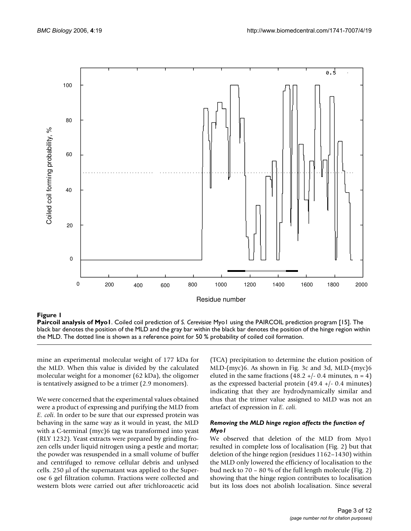

**Paircoil analysis of Myo1**. Coiled coil prediction of *S. Cerevisiae* Myo1 using the PAIRCOIL prediction program [15]. The black bar denotes the position of the MLD and the gray bar within the black bar denotes the position of the hinge region within the MLD. The dotted line is shown as a reference point for 50 % probability of coiled coil formation.

mine an experimental molecular weight of 177 kDa for the MLD. When this value is divided by the calculated molecular weight for a monomer (62 kDa), the oligomer is tentatively assigned to be a trimer (2.9 monomers).

We were concerned that the experimental values obtained were a product of expressing and purifying the MLD from *E. coli*. In order to be sure that our expressed protein was behaving in the same way as it would in yeast, the MLD with a C-terminal (myc)6 tag was transformed into yeast (RLY 1232). Yeast extracts were prepared by grinding frozen cells under liquid nitrogen using a pestle and mortar; the powder was resuspended in a small volume of buffer and centrifuged to remove cellular debris and unlysed cells. 250 μl of the supernatant was applied to the Superose 6 gel filtration column. Fractions were collected and western blots were carried out after trichloroacetic acid

(TCA) precipitation to determine the elution position of MLD-(myc)6. As shown in Fig. 3c and 3d, MLD-(myc)6 eluted in the same fractions  $(48.2 +/- 0.4$  minutes, n = 4) as the expressed bacterial protein  $(49.4 +/- 0.4$  minutes) indicating that they are hydrodynamically similar and thus that the trimer value assigned to MLD was not an artefact of expression in *E. coli*.

#### *Removing the MLD hinge region affects the function of Myo1*

We observed that deletion of the MLD from Myo1 resulted in complete loss of localisation (Fig. 2) but that deletion of the hinge region (residues 1162–1430) within the MLD only lowered the efficiency of localisation to the bud neck to 70 – 80 % of the full length molecule (Fig. 2) showing that the hinge region contributes to localisation but its loss does not abolish localisation. Since several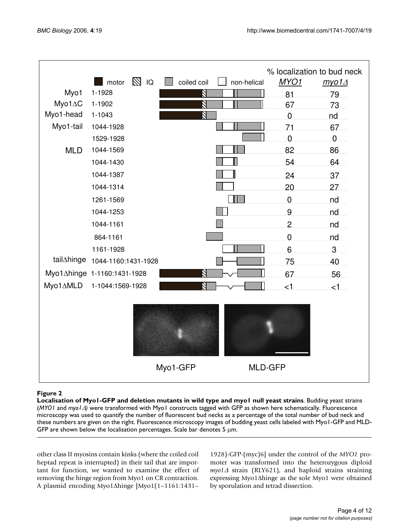

**Localisation of Myo1-GFP and deletion mutants in wild type and myo1 null yeast strains**. Budding yeast strains (*MYO1* and *myo1*Δ*)* were transformed with Myo1 constructs tagged with GFP as shown here schematically. Fluorescence microscopy was used to quantify the number of fluorescent bud necks as a percentage of the total number of bud neck and these numbers are given on the right. Fluorescence microscopy images of budding yeast cells labeled with Myo1-GFP and MLD-GFP are shown below the localisation percentages. Scale bar denotes 5 μm.

other class II myosins contain kinks (where the coiled coil heptad repeat is interrupted) in their tail that are important for function, we wanted to examine the effect of removing the hinge region from Myo1 on CR contraction. A plasmid encoding Myo1Δhinge [Myo1(1–1161:1431–

1928)-GFP-(myc)6] under the control of the *MYO1* promoter was transformed into the heterozygous diploid *myo1*∆ strain (RLY621), and haploid strains straining expressing Myo1Δhinge as the sole Myo1 were obtained by sporulation and tetrad dissection.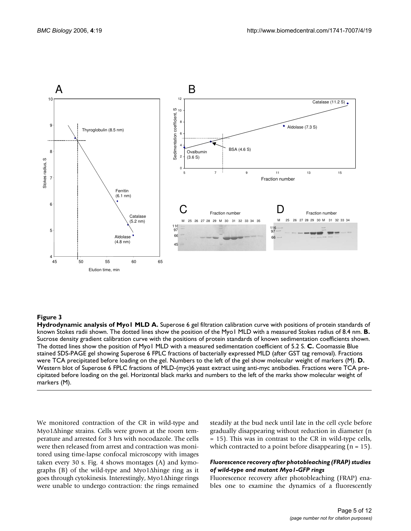

**Hydrodynamic analysis of Myo1 MLD A.** Superose 6 gel filtration calibration curve with positions of protein standards of known Stokes radii shown. The dotted lines show the position of the Myo1 MLD with a measured Stokes radius of 8.4 nm. **B.**  Sucrose density gradient calibration curve with the positions of protein standards of known sedimentation coefficients shown. The dotted lines show the position of Myo1 MLD with a measured sedimentation coefficient of 5.2 S. **C.** Coomassie Blue stained SDS-PAGE gel showing Superose 6 FPLC fractions of bacterially expressed MLD (after GST tag removal). Fractions were TCA precipitated before loading on the gel. Numbers to the left of the gel show molecular weight of markers (M). **D.**  Western blot of Superose 6 FPLC fractions of MLD-(myc)6 yeast extract using anti-myc antibodies. Fractions were TCA precipitated before loading on the gel. Horizontal black marks and numbers to the left of the marks show molecular weight of markers (M).

We monitored contraction of the CR in wild-type and Myo1Δhinge strains. Cells were grown at the room temperature and arrested for 3 hrs with nocodazole. The cells were then released from arrest and contraction was monitored using time-lapse confocal microscopy with images taken every 30 s. Fig. 4 shows montages (A) and kymographs (B) of the wild-type and Myo1Δhinge ring as it goes through cytokinesis. Interestingly, Myo1Δhinge rings were unable to undergo contraction: the rings remained

steadily at the bud neck until late in the cell cycle before gradually disappearing without reduction in diameter (n = 15). This was in contrast to the CR in wild-type cells, which contracted to a point before disappearing  $(n = 15)$ .

#### *Fluorescence recovery after photobleaching (FRAP) studies of wild-type and mutant Myo1-GFP rings*

Fluorescence recovery after photobleaching (FRAP) enables one to examine the dynamics of a fluorescently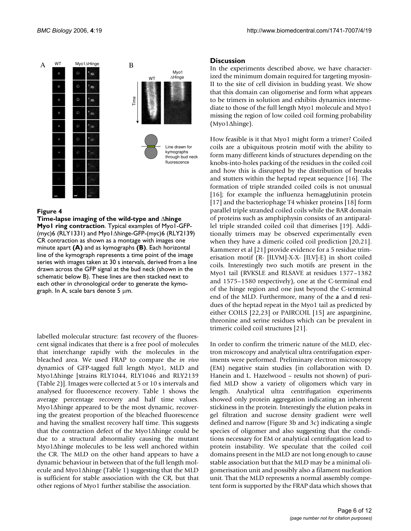

**Time-lapse imaging of the wild-type and** Δ**hinge Myo1 ring contraction**. Typical examples of Myo1-GFP- (myc)6 (RLY1331) and Myo1Δhinge-GFP-(myc)6 (RLY2139) CR contraction as shown as a montage with images one minute apart **(A)** and as kymographs **(B)**. Each horizontal line of the kymograph represents a time point of the image series with images taken at 30 s intervals, derived from a line drawn across the GFP signal at the bud neck (shown in the schematic below B). These lines are then stacked next to each other in chronological order to generate the kymograph. In A, scale bars denote  $5 \mu m$ .

labelled molecular structure: fast recovery of the fluorescent signal indicates that there is a free pool of molecules that interchange rapidly with the molecules in the bleached area. We used FRAP to compare the *in vivo* dynamics of GFP-tagged full length Myo1, MLD and Myo1Δhinge [strains RLY1044, RLY1046 and RLY2139 (Table 2)]. Images were collected at 5 or 10 s intervals and analysed for fluorescence recovery. Table 1 shows the average percentage recovery and half time values. Myo1Δhinge appeared to be the most dynamic, recovering the greatest proportion of the bleached fluorescence and having the smallest recovery half time. This suggests that the contraction defect of the Myo1Δhinge could be due to a structural abnormality causing the mutant Myo1Δhinge molecules to be less well anchored within the CR. The MLD on the other hand appears to have a dynamic behaviour in between that of the full length molecule and Myo1Δhinge (Table 1) suggesting that the MLD is sufficient for stable association with the CR, but that other regions of Myo1 further stabilise the association.

# **Discussion**

In the experiments described above, we have characterized the minimum domain required for targeting myosin-II to the site of cell division in budding yeast. We show that this domain can oligomerise and form what appears to be trimers in solution and exhibits dynamics intermediate to those of the full length Myo1 molecule and Myo1 missing the region of low coiled coil forming probability (Myo1Δhinge).

How feasible is it that Myo1 might form a trimer? Coiled coils are a ubiquitous protein motif with the ability to form many different kinds of structures depending on the knobs-into-holes packing of the residues in the coiled coil and how this is disrupted by the distribution of breaks and stutters within the heptad repeat sequence [16]. The formation of triple stranded coiled coils is not unusual [16]; for example the influenza hemagglutinin protein [17] and the bacteriophage T4 whisker proteins [18] form parallel triple stranded coiled coils while the BAR domain of proteins such as amphiphysin consists of an antiparallel triple stranded coiled coil that dimerises [19]. Additionally trimers may be observed experimentally even when they have a dimeric coiled coil prediction [20,21]. Kammerer et al [21] provide evidence for a 5 residue trimerisation motif (R- [ILVM]-X-X- [ILV]-E) in short coiled coils. Interestingly two such motifs are present in the Myo1 tail (RVKSLE and RLSAVE at residues 1377–1382 and 1575–1580 respectively), one at the C-terminal end of the hinge region and one just beyond the C-terminal end of the MLD. Furthermore, many of the **a** and **d** residues of the heptad repeat in the Myo1 tail as predicted by either COILS [22,23] or PAIRCOIL [15] are asparginine, threonine and serine residues which can be prevalent in trimeric coiled coil structures [21].

In order to confirm the trimeric nature of the MLD, electron microscopy and analytical ultra centrifugation experiments were performed. Preliminary electron microscopy (EM) negative stain studies (in collaboration with D. Hanein and L. Hazelwood – results not shown) of purified MLD show a variety of oligomers which vary in length. Analytical ultra centrifugation experiments showed only protein aggregation indicating an inherent stickiness in the protein. Interestingly the elution peaks in gel filtration and sucrose density gradient were well defined and narrow (Figure 3b and 3c) indicating a single species of oligomer and also suggesting that the conditions necessary for EM or analytical centrifugation lead to protein instability. We speculate that the coiled coil domains present in the MLD are not long enough to cause stable association but that the MLD may be a minimal oligomerisation unit and possibly also a filament nucleation unit. That the MLD represents a normal assembly competent form is supported by the FRAP data which shows that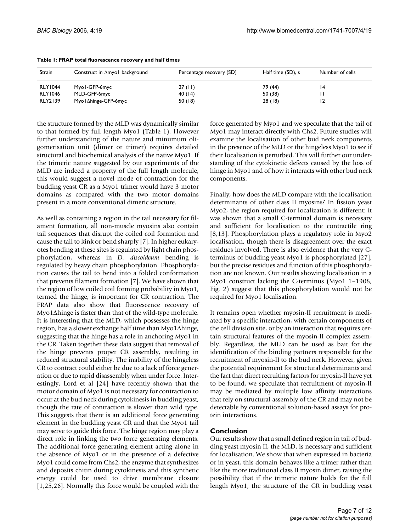| Strain         | Construct in Amyo I background | Percentage recovery (SD) | Half time (SD), s | Number of cells |
|----------------|--------------------------------|--------------------------|-------------------|-----------------|
| <b>RLY1044</b> | Myol-GFP-6myc                  | 27(11)                   | 79 (44)           | ۱4              |
| <b>RLY1046</b> | MLD-GFP-6myc                   | 40 (14)                  | 50 (38)           |                 |
| <b>RLY2139</b> | Myo l∆hinge-GFP-6myc           | 50 (18)                  | 28(18)            | 12              |

#### **Table 1: FRAP total fluorescence recovery and half times**

the structure formed by the MLD was dynamically similar to that formed by full length Myo1 (Table 1). However further understanding of the nature and minumum oligomerisation unit (dimer or trimer) requires detailed structural and biochemical analysis of the native Myo1. If the trimeric nature suggested by our experiments of the MLD are indeed a property of the full length molecule, this would suggest a novel mode of contraction for the budding yeast CR as a Myo1 trimer would have 3 motor domains as compared with the two motor domains present in a more conventional dimeric structure.

As well as containing a region in the tail necessary for filament formation, all non-muscle myosins also contain tail sequences that disrupt the coiled coil formation and cause the tail to kink or bend sharply [7]. In higher eukaryotes bending at these sites is regulated by light chain phosphorylation, whereas in *D. discoideum* bending is regulated by heavy chain phosphorylation. Phosphorylation causes the tail to bend into a folded conformation that prevents filament formation [7]. We have shown that the region of low coiled coil forming probability in Myo1, termed the hinge, is important for CR contraction. The FRAP data also show that fluorescence recovery of Myo1Δhinge is faster than that of the wild-type molecule. It is interesting that the MLD, which possesses the hinge region, has a slower exchange half time than Myo1Δhinge, suggesting that the hinge has a role in anchoring Myo1 in the CR. Taken together these data suggest that removal of the hinge prevents proper CR assembly, resulting in reduced structural stability. The inability of the hingeless CR to contract could either be due to a lack of force generation or due to rapid disassembly when under force. Interestingly, Lord et al [24] have recently shown that the motor domain of Myo1 is not necessary for contraction to occur at the bud neck during cytokinesis in budding yeast, though the rate of contraction is slower than wild type. This suggests that there is an additional force generating element in the budding yeast CR and that the Myo1 tail may serve to guide this force. The hinge region may play a direct role in linking the two force generating elements. The additional force generating element acting alone in the absence of Myo1 or in the presence of a defective Myo1 could come from Chs2, the enzyme that synthesizes and deposits chitin during cytokinesis and this synthetic energy could be used to drive membrane closure [1,25,26]. Normally this force would be coupled with the force generated by Myo1 and we speculate that the tail of Myo1 may interact directly with Chs2. Future studies will examine the localisation of other bud neck components in the presence of the MLD or the hingeless Myo1 to see if their localisation is perturbed. This will further our understanding of the cytokinetic defects caused by the loss of hinge in Myo1 and of how it interacts with other bud neck components.

Finally, how does the MLD compare with the localisation determinants of other class II myosins? In fission yeast Myo2, the region required for localization is different: it was shown that a small C-terminal domain is necessary and sufficient for localisation to the contractile ring [8,13]. Phosphorylation plays a regulatory role in Myo2 localisation, though there is disagreement over the exact residues involved. There is also evidence that the very Cterminus of budding yeast Myo1 is phosphorylated [27], but the precise residues and function of this phosphorylation are not known. Our results showing localisation in a Myo1 construct lacking the C-terminus (Myo1 1–1908, Fig. 2) suggest that this phosphorylation would not be required for Myo1 localisation.

It remains open whether myosin-II recruitment is mediated by a specific interaction, with certain components of the cell division site, or by an interaction that requires certain structural features of the myosin-II complex assembly. Regardless, the MLD can be used as bait for the identification of the binding partners responsible for the recruitment of myosin-II to the bud neck. However, given the potential requirement for structural determinants and the fact that direct recruiting factors for myosin-II have yet to be found, we speculate that recruitment of myosin-II may be mediated by multiple low affinity interactions that rely on structural assembly of the CR and may not be detectable by conventional solution-based assays for protein interactions.

#### **Conclusion**

Our results show that a small defined region in tail of budding yeast myosin II, the MLD, is necessary and sufficient for localisation. We show that when expressed in bacteria or in yeast, this domain behaves like a trimer rather than like the more traditional class II myosin dimer, raising the possibility that if the trimeric nature holds for the full length Myo1, the structure of the CR in budding yeast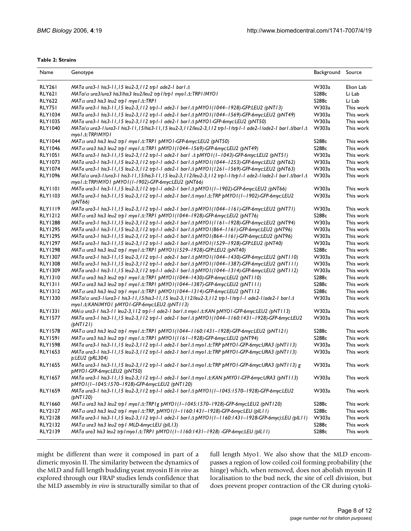#### **Table 2: Strains**

| Name           | Genotype                                                                                                                                                                                  | Background Source |           |
|----------------|-------------------------------------------------------------------------------------------------------------------------------------------------------------------------------------------|-------------------|-----------|
| RLY261         | MATa ura3-1 his3-11,15 leu2-3,112 trp1 ade2-1 bar1 $\Delta$                                                                                                                               | W303a             | Elion Lab |
| <b>RLY621</b>  | $MATa/\alpha$ ura3/ura3 his3/his3 leu2/leu2 trp1/trp1 myo1 $\triangle$ :TRP1/MYO1                                                                                                         | S288c             | Li Lab    |
| <b>RLY622</b>  | $MAT\alpha$ ura3 his3 leu2 trp   myo   $\triangle$ ::TRP                                                                                                                                  | S288c             | Li Lab    |
| RLY751         | MATa ura3-1 his3-11,15 leu2-3,112 trp1-1 ade2-1 bar1 $\triangle$ pMYO1(1044-1928)-GFP:LEU2 (pNT13)                                                                                        | W303a             | This work |
| <b>RLY1034</b> | MATa ura3-1 his3-11,15 leu2-3,112 trp1-1 ade2-1 bar1 $\triangle$ pMYO1(1044-1569)-GFP-6myc:LEU2 (pNT49)                                                                                   | W303a             | This work |
| <b>RLY1035</b> | MATa ura3-1 his3-11,15 leu2-3,112 trp1-1 ade2-1 bar1∆ pMYO1-GFP-6myc:LEU2 (pNT50)                                                                                                         | W303a             | This work |
| <b>RLY1040</b> | MATa/ $\alpha$ ura3-I/ura3-I his3-I I, I5/his3-I I, I5 leu2-3, I I2/leu2-3, I I2 trp I-I/trp I-I ade2-I/ade2-I bar I $\Delta$ /barl $\Delta$<br>myo l ∆::TRP/MYO l                        | W303a             | This work |
| <b>RLY1044</b> | $MAT\alpha$ ura3 his3 leu2 trp   myo   $\triangle$ ::TRP   pMYO   -GFP-6myc:LEU2 (pNT50)                                                                                                  | S288c             | This work |
| <b>RLY1046</b> | $MAT\alpha$ ura3 his3 leu2 trp   myo   $\triangle$ ::TRP1 pMYO   (1044-1569)-GFP-6myc:LEU2 (pNT49)                                                                                        | S288c             | This work |
| <b>RLY1051</b> | MATa ura3-1 his3-1 l,15 leu2-3,112 trp1-1 ade2-1 bar1 $\triangle$ pMYO1(1-1043)-GFP-6myc:LEU2 (pNT51)                                                                                     | W303a             | This work |
| <b>RLY1073</b> | MATa ura3-1 his3-11,15 leu2-3,112 trp1-1 ade2-1 bar1 $\triangle$ pMYO1(1044-1253)-GFP-6myc:LEU2 (pNT62)                                                                                   | W303a             | This work |
| <b>RLY1074</b> | MATa ura3-1 his3-11,15 leu2-3,112 trp1-1 ade2-1 bar1 $\triangle$ pMYO1(1261-1569)-GFP-6myc:LEU2 (pNT63)                                                                                   | W303a             | This work |
| <b>RLY1096</b> | MATa/ $\alpha$ ura3-1/ura3-1 his3-11,15/his3-11,15 leu2-3,112/leu2-3,112 trp1-1/trp1-1 ade2-1/ade2-1 bar1 $\Delta$ /bar1 $\Delta$<br>myol 4::TRP/MYOI pMYOI(I-1902)-GFP-6myc:LEU2 (pNT66) | W303a             | This work |
| RLY1101        | MATa ura3-1 his3-11,15 leu2-3,112 trp1-1 ade2-1 bar1∆ pMYO1(1-1902)-GFP-6myc:LEU2 (pNT66)                                                                                                 | W303a             | This work |
| <b>RLY1103</b> | MATa ura3-1 his3-11,15 leu2-3,112 trp1-1 ade2-1 bar1∆ myo1∆::TRP pMYO1(1-1902)-GFP-6myc:LEU2<br>(bNT66)                                                                                   | W303a             | This work |
| <b>RLY1119</b> | MATa ura3-1 his3-11,15 leu2-3,112 trp1-1 ade2-1 bar1 $\Delta$ pMYO1(1044-1161)-GFP-6myc:LEU2 (pNT71)                                                                                      | W303a             | This work |
| <b>RLY1212</b> | $MAT\alpha$ ura3 his3 leu2 trp   myo   $\triangle$ ::TRP1 pMYO   (1044-1928)-GFP-6myc:LEU2 (pNT76)                                                                                        | S288c             | This work |
| <b>RLY1288</b> | MATa ura3-1 his3-11,15 leu2-3,112 trp1-1 ade2-1 bar1 $\triangle$ pMYO1(1161-1928)-GFP-6myc:LEU2 (pNT94)                                                                                   | W303a             | This work |
| <b>RLY1295</b> | MATa ura3-1 his3-11,15 leu2-3,112 trp1-1 ade2-1 bar1∆ pMYO1(864-1161)-GFP-6myc:LEU2 (pNT96)                                                                                               | W303a             | This work |
| <b>RLY1295</b> | MATa ura3-1 his3-11,15 leu2-3,112 trp1-1 ade2-1 bar1 $\Delta$ pMYO1(864-1161)-GFP-6myc:LEU2 (pNT96)                                                                                       | W303a             | This work |
| <b>RLY1297</b> | MATa ura3-1 his3-11,15 leu2-3,112 trp1-1 ade2-1 bar1 $\triangle$ pMYO1(1529-1928)-GFP:LEU2 (pNT40)                                                                                        | W303a             | This work |
| <b>RLY1298</b> | $MAT\alpha$ ura3 his3 leu2 trp1 myo1 $\triangle$ ::TRP1 pMYO1(1529-1928)-GFP:LEU2 (pNT40)                                                                                                 | S288c             | This work |
| <b>RLY1307</b> | MATa ura3-1 his3-11,15 leu2-3,112 trp1-1 ade2-1 bar1 $\triangle$ pMYO1(1044-1430)-GFP-6myc:LEU2 (pNT110)                                                                                  | W303a             | This work |
| <b>RLY1308</b> | MATa ura3-1 his3-11,15 leu2-3,112 trp1-1 ade2-1 bar1 $\Delta$ pMYO1(1044-1387)-GFP-6myc:LEU2 (pNT111)                                                                                     | W303a             | This work |
| <b>RLY1309</b> | MATa ura3-1 his3-11,15 leu2-3,112 trp1-1 ade2-1 bar1∆ pMYO1(1044-1314)-GFP-6myc:LEU2 (pNT112)                                                                                             | W303a             | This work |
| <b>RLY1310</b> | $MAT\alpha$ ura3 his3 leu2 trp   myo   $\triangle$ ::TRP   pMYO   (1044-1430)-GFP-6myc:LEU2 (pNT110)                                                                                      | S288c             | This work |
| RLY1311        | $MAT\alpha$ ura3 his3 leu2 trp1 myo1 $\triangle$ ::TRP1 pMYO1(1044-1387)-GFP-6myc:LEU2 (pNT111)                                                                                           | S288c             | This work |
| <b>RLY1312</b> | $MAT\alpha$ ura3 his3 leu2 trp   myo   $\triangle$ ::TRP   pMYO   (1044-1314)-GFP-6myc:LEU2 (pNT   12                                                                                     | S288c             | This work |
| <b>RLY1330</b> | $MATa/\alpha$ ura3-1/ura3-1 his3-11,15/his3-11,15 leu2-3,112/leu2-3,112 trp1-1/trp1-1 ade2-1/ade2-1 bar1 $\Delta$<br>myol A::KAN/MYOI pMYOI-GFP-6myc:LEU2 (pNTII3)                        | W303a             | This work |
| <b>RLY1331</b> | MA/α ura3-1 his3-11 leu2-3, 112 trp1-1 ade2-1 bar1Δ myo1Δ::KAN pMYO1-GFP-6myc:LEU2 (pNT113)                                                                                               | W303a             | This work |
| <b>RLY1577</b> | MATa ura3-1 his3-1 l, 15 leu2-3, 1 l 2 trp l - 1 ade2-1 bar l △ pMYO l (1044-1160:1431-1928)-GFP-6myc:LEU2<br>(pNTI2I)                                                                    | W303a             | This work |
| <b>RLY1578</b> | $MAT\alpha$ ura3 his3 leu2 trp1 myol $\triangle$ :TRP1 pMYO1(1044-1160:1431-1928)-GFP-6myc:LEU2 (pNT121)                                                                                  | S288c             | This work |
| <b>RLY1591</b> | $MAT\alpha$ ura3 his3 leu2 trp   myo   $\triangle$ ::TRP1 pMYO   (1161-1928)-GFP-6myc:LEU2 (pNT94)                                                                                        | S288c             | This work |
| <b>RLY1598</b> | MATa ura3-1 his3-11,15 leu2-3,112 trp1-1 ade2-1 bar1∆ myo1∆::TRP pMYO1-GFP-6myc:URA3 (pNT113)                                                                                             | W303a             | This work |
| <b>RLY1653</b> | MATa ura3-1 his3-11,15 leu2-3,112 trp1-1 ade2-1 bar1 $\Delta$ myo1 $\Delta$ ::TRP pMYO1-GFP-6myc:URA3 (pNT113)<br>p:LEU2 (pRL304)                                                         | W303a             | This work |
| <b>RLY1655</b> | MATa ura3-1 his3-11,15 leu2-3,112 trp1-1 ade2-1 bar1A myo1A::TRP pMYO1-GFP-6myc:URA3 (pNT113) g<br>pMYO I-GFP-6myc:LEU2 (pNT50)                                                           | W303a             | This work |
| <b>RLY1657</b> | MATa ura3-1 his3-11,15 leu2-3,112 trp1-1 ade2-1 bar1 $\triangle$ myo1 $\triangle$ :KAN pMYO1-GFP-6myc:URA3 (pNT113)<br>pMYO I (1-1045:1570-1928)-GFP-6myc:LEU2 (pNT120)                   | W303a             | This work |
| <b>RLY1659</b> | MATa ura3-1 his3-11,15 leu2-3,112 trp1-1 ade2-1 bar1A pMYO1(1-1045:1570-1928)-GFP-6myc:LEU2<br>(pNTI20)                                                                                   | W303a             | This work |
| <b>RLY1660</b> | $MAT\alpha$ ura3 his3 leu2 trp   myo   $\triangle$ ::TRP   g pMYO   (1-1045:1570-1928)-GFP-6myc:LEU2 (pNT120)                                                                             | S288c             | This work |
| <b>RLY2127</b> | $MAT\alpha$ ura3 his3 leu2 trp   myo   $\triangle$ ::TRP, pMYO   (1-1160:1431-1928)-GFP-6myc:LEU (pIL11)                                                                                  | S288c             | This work |
| <b>RLY2128</b> | MATa ura3-1 his3-1 l, 15 leu2-3, 1 l 2 trp l - 1 ade2-1 bar l △ pMYO l (1-1 160:143 l-1928-GFP-6myc):LEU (plL11)                                                                          | W303a             | This work |
| <b>RLY2132</b> | $MAT\alpha$ ura3 his3 leu2 trp   MLD-6myc:LEU (pIL13)                                                                                                                                     | S288c             | This work |
| RLY2139        | MATa ura3 his3 leu2 trp I myo I A::TRP1 pMYO I (I-I 160:1431-1928) -GFP-6myc:LEU (pIL11)                                                                                                  | S288c             | This work |

might be different than were it composed in part of a dimeric myosin II. The similarity between the dynamics of the MLD and full length budding yeast myosin II *in vivo* as explored through our FRAP studies lends confidence that the MLD assembly *in vivo* is structurally similar to that of full length Myo1. We also show that the MLD encompasses a region of low coiled coil forming probability (the hinge) which, when removed, does not abolish myosin II localisation to the bud neck, the site of cell division, but does prevent proper contraction of the CR during cytoki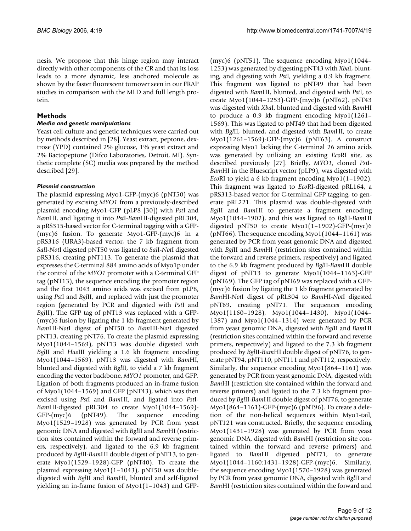nesis. We propose that this hinge region may interact directly with other components of the CR and that its loss leads to a more dynamic, less anchored molecule as shown by the faster fluorescent turnover seen in our FRAP studies in comparison with the MLD and full length protein.

# **Methods**

# *Media and genetic manipulations*

Yeast cell culture and genetic techniques were carried out by methods described in [28]. Yeast extract, peptone, dextrose (YPD) contained 2% glucose, 1% yeast extract and 2% Bactopeptone (Difco Laboratories, Detroit, MI). Synthetic complete (SC) media was prepared by the method described [29].

# *Plasmid construction*

The plasmid expressing Myo1-GFP-(myc)6 (pNT50) was generated by excising *MYO1* from a previously-described plasmid encoding Myo1-GFP (pLP8 [30]) with *Pst*I and *Bam*HI, and ligating it into *Pst*I-*Bam*HI-digested pRL304, a pRS315-based vector for C-terminal tagging with a GFP- (myc)6 fusion. To generate Myo1-GFP-(myc)6 in a pRS316 (URA3)-based vector, the 7 kb fragment from *Sal*I-*Not*I digested pNT50 was ligated to *Sal*I-*Not*I digested pRS316, creating pNT113. To generate the plasmid that expresses the C-terminal 884 amino acids of Myo1p under the control of the *MYO1* promoter with a C-terminal GFP tag (pNT13), the sequence encoding the promoter region and the first 1043 amino acids was excised from pLP8, using *Pst*I and *Bgl*II, and replaced with just the promoter region (generated by PCR and digested with *Pst*I and *Bgl*II). The GFP tag of pNT13 was replaced with a GFP- (myc)6 fusion by ligating the 1 kb fragment generated by *Bam*HI-*Not*I digest of pNT50 to *Bam*HI-*Not*I digested pNT13, creating pNT76. To create the plasmid expressing Myo1(1044–1569), pNT13 was double digested with *Bgl*II and *Hae*III yielding a 1.6 kb fragment encoding Myo1(1044–1569). pNT13 was digested with *Bam*HI, blunted and digested with *Bgl*II, to yield a 7 kb fragment encoding the vector backbone, *MYO1* promoter, and GFP. Ligation of both fragments produced an in-frame fusion of Myo1(1044–1569) and GFP (pNT43), which was then excised using *Pst*I and *Bam*HI, and ligated into *Pst*I-*Bam*HI-digested pRL304 to create Myo1(1044–1569)- GFP-(myc)6 (pNT49). The sequence encoding Myo1(1529–1928) was generated by PCR from yeast genomic DNA and digested with *Bgl*II and *Bam*HI (restriction sites contained within the forward and reverse primers, respectively), and ligated to the 6.9 kb fragment produced by *Bgl*II-*Bam*HI double digest of pNT13, to generate Myo1(1529–1928)-GFP (pNT40). To create the plasmid expressing Myo1(1–1043), pNT50 was doubledigested with *Bgl*II and *Bam*HI, blunted and self-ligated yielding an in-frame fusion of Myo1(1–1043) and GFP-

(myc)6 (pNT51). The sequence encoding Myo1(1044– 1253) was generated by digesting pNT43 with *Xba*I, blunting, and digesting with *Pst*I, yielding a 0.9 kb fragment. This fragment was ligated to pNT49 that had been digested with *Bam*HI, blunted, and digested with *Pst*I, to create Myo1(1044–1253)-GFP-(myc)6 (pNT62). pNT43 was digested with *Xba*I, blunted and digested with *Bam*HI to produce a 0.9 kb fragment encoding Myo1(1261– 1569). This was ligated to pNT49 that had been digested with *Bgl*II, blunted, and digested with *Bam*HI, to create Myo1(1261–1569)-GFP-(myc)6 (pNT63). A construct expressing Myo1 lacking the C-terminal 26 amino acids was generated by utilizing an existing *Eco*RI site, as described previously [27]. Briefly, *MYO1*, cloned *Pst*I-*Bam*HI in the Bluescript vector (pLP9), was digested with *Eco*RI to yield a 6 kb fragment encoding Myo1(1–1902). This fragment was ligated to *Eco*RI-digested pRL164, a pRS313-based vector for C-terminal GFP tagging, to generate pRL221. This plasmid was double-digested with *Bgl*II and *Bam*HI to generate a fragment encoding Myo1(1044–1902), and this was ligated to *Bgl*II-*Bam*HI digested pNT50 to create Myo1(1–1902)-GFP-(myc)6 (pNT66). The sequence encoding Myo1(1044–1161) was generated by PCR from yeast genomic DNA and digested with *Bgl*II and *Bam*HI (restriction sites contained within the forward and reverse primers, respectively) and ligated to the 6.9 kb fragment produced by *Bgl*II-*Bam*HI double digest of pNT13 to generate Myo1(1044–1163)-GFP (pNT69). The GFP tag of pNT69 was replaced with a GFP- (myc)6 fusion by ligating the 1 kb fragment generated by *Bam*HI-*Not*I digest of pRL304 to *Bam*HI-*Not*I digested pNT69, creating pNT71. The sequences encoding Myo1(1160–1928), Myo1(1044–1430), Myo1(1044– 1387) and Myo1(1044–1314) were generated by PCR from yeast genomic DNA, digested with *Bgl*II and *Bam*HI (restriction sites contained within the forward and reverse primers, respectively) and ligated to the 7.3 kb fragment produced by *Bgl*II-*Bam*HI double digest of pNT76, to generate pNT94, pNT110, pNT111 and pNT112, respectively. Similarly, the sequence encoding Myo1(864–1161) was generated by PCR from yeast genomic DNA, digested with *Bam*HI (restriction site contained within the forward and reverse primers) and ligated to the 7.3 kb fragment produced by *Bgl*II-*Bam*HI double digest of pNT76, to generate Myo1(864–1161)-GFP-(myc)6 (pNT96). To create a deletion of the non-helical sequences within Myo1-tail, pNT121 was constructed. Briefly, the sequence encoding Myo1(1431–1928) was generated by PCR from yeast genomic DNA, digested with *Bam*HI (restriction site contained within the forward and reverse primers) and ligated to *Bam*HI digested pNT71, to generate Myo1(1044–1160:1431–1928)-GFP-(myc)6. Similarly, the sequence encoding Myo1(1570–1928) was generated by PCR from yeast genomic DNA, digested with *Bgl*II and *Bam*HI (restriction sites contained within the forward and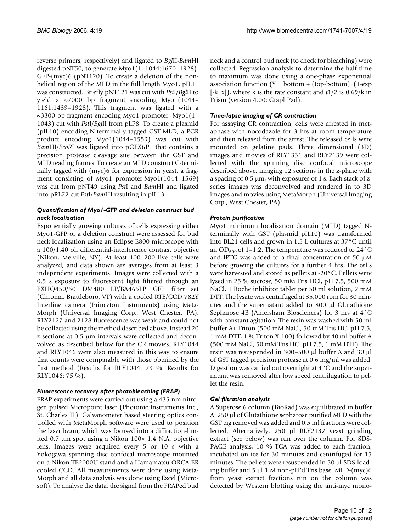reverse primers, respectively) and ligated to *Bgl*II-*Bam*HI digested pNT50, to generate Myo1(1–1044:1670–1928)- GFP-(myc)6 (pNT120). To create a deletion of the nonhelical region of the MLD in the full length Myo1, pIL11 was constructed. Briefly pNT121 was cut with *Pst*I/*Bgl*II to yield a ~7000 bp fragment encoding Myo1(1044– 1161:1439–1928). This fragment was ligated with a ~3300 bp fragment encoding Myo1 promoter -Myo1(1– 1043) cut with *Pst*I/*Bgl*II from pLP8. To create a plasmid (pIL10) encoding N-terminally tagged GST-MLD, a PCR product encoding Myo1(1044–1559) was cut with *Bam*HI/*EcoR*I was ligated into pGEX6P1 that contains a precision protease cleavage site between the GST and MLD reading frames. To create an MLD construct C-terminally tagged with (myc)6 for expression in yeast, a fragment consisting of Myo1 promoter-Myo1(1044–1569) was cut from pNT49 using *Pst*I and *Bam*HI and ligated into pRL72 cut *Pst*I/*Bam*HI resulting in pIL13.

# *Quantification of Myo1-GFP and deletion construct bud neck localization*

Exponentially growing cultures of cells expressing either Myo1-GFP or a deletion construct were assessed for bud neck localization using an Eclipse E800 microscope with a 100/1.40 oil differential-interference contrast objective (Nikon, Melville, NY). At least 100–200 live cells were analyzed, and data shown are averages from at least 3 independent experiments. Images were collected with a 0.5 s exposure to fluorescent light filtered through an EXHQ450/50 DM480 LP/BA465LP GFP filter set (Chroma, Brattleboro, VT) with a cooled RTE/CCD 782Y Interline camera (Princeton Instruments) using Meta-Morph (Universal Imaging Corp., West Chester, PA). RLY2127 and 2128 fluorescence was weak and could not be collected using the method described above. Instead 20 z sections at 0.5 μm intervals were collected and deconvolved as described below for the CR movies. RLY1044 and RLY1046 were also measured in this way to ensure that counts were comparable with those obtained by the first method (Results for RLY1044: 79 %. Results for RLY1046: 75 %).

# *Fluorescence recovery after photobleaching (FRAP)*

FRAP experiments were carried out using a 435 nm nitrogen pulsed Micropoint laser (Photonic Instruments Inc., St. Charles IL). Galvanometer based steering optics controlled with MetaMorph software were used to position the laser beam, which was focused into a diffraction-limited 0.7 μm spot using a Nikon 100× 1.4 N.A. objective lens. Images were acquired every 5 or 10 s with a Yokogawa spinning disc confocal microscope mounted on a Nikon TE2000U stand and a Hamamatsu ORCA ER cooled CCD. All measurements were done using Meta-Morph and all data analysis was done using Excel (Microsoft). To analyse the data, the signal from the FRAPed bud

neck and a control bud neck (to check for bleaching) were collected. Regression analysis to determine the half time to maximum was done using a one-phase exponential association function (Y = bottom + (top-bottom) $(1-exp)$ [-k·x]), where k is the rate constant and *t*1/2 is 0.69/k in Prism (version 4.00; GraphPad).

# *Time-lapse imaging of CR contraction*

For assaying CR contraction, cells were arrested in metaphase with nocodazole for 3 hrs at room temperature and then released from the arrest. The released cells were mounted on gelatine pads. Three dimensional (3D) images and movies of RLY1331 and RLY2139 were collected with the spinning disc confocal microscope described above, imaging 12 sections in the z-plane with a spacing of 0.5 μm, with exposures of 1 s. Each stack of zseries images was deconvolved and rendered in to 3D images and movies using MetaMorph (Universal Imaging Corp., West Chester, PA).

# *Protein purification*

Myo1 minimum localisation domain (MLD) tagged Nterminally with GST (plasmid pIL10) was transformed into BL21 cells and grown in 1.5 L cultures at 37°C until an OD<sub>600</sub> of 1–1.2. The temperature was reduced to 24 $\degree$ C and IPTG was added to a final concentration of 50 μM before growing the cultures for a further 4 hrs. The cells were harvested and stored as pellets at -20°C. Pellets were lysed in 25 % sucrose, 50 mM Tris HCl, pH 7.5, 500 mM NaCl, 1 Roche inhibitor tablet per 50 ml solution, 2 mM DTT. The lysate was centrifuged at 35,000 rpm for 30 minutes and the supernatant added to 800 μl Glutathione Sepharose 4B (Amersham Biosciences) for 3 hrs at 4°C with constant agitation. The resin was washed with 50 ml buffer A+ Triton (500 mM NaCl, 50 mM Tris HCl pH 7.5, 1 mM DTT, 1 % Triton X-100) followed by 40 ml buffer A (500 mM NaCl, 50 mM Tris HCl pH 7.5, 1 mM DTT). The resin was resuspended in 300–500 μl buffer A and 30 μl of GST tagged precision protease at 0.6 mg/ml was added. Digestion was carried out overnight at 4°C and the supernatant was removed after low speed centrifugation to pellet the resin.

#### *Gel filtration analysis*

A Superose 6 column (BioRad) was equilibrated in buffer A. 250 μl of Glutathione sepharose purified MLD with the GST tag removed was added and 0.5 ml fractions were collected. Alternatively, 250 μl RLY2132 yeast grinding extract (see below) was run over the column. For SDS-PAGE analysis, 10 % TCA was added to each fraction, incubated on ice for 30 minutes and centrifuged for 15 minutes. The pellets were resuspended in 30 μl SDS-loading buffer and 5 μl 1 M non-pH'd Tris base. MLD-(myc)6 from yeast extract fractions run on the column was detected by Western blotting using the anti-myc mono-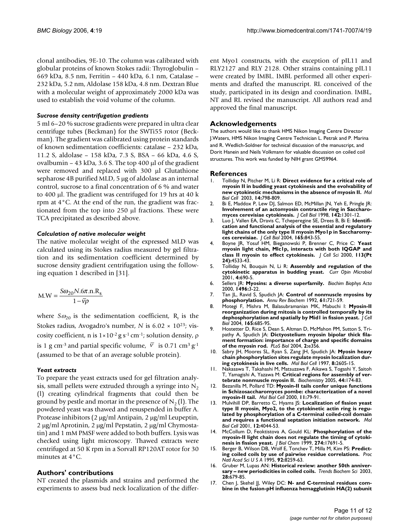clonal antibodies, 9E-10. The column was calibrated with globular proteins of known Stokes radii: Thyroglobulin – 669 kDa, 8.5 nm, Ferritin – 440 kDa, 6.1 nm, Catalase – 232 kDa, 5.2 nm, Aldolase 158 kDa, 4.8 nm. Dextran Blue with a molecular weight of approximately 2000 kDa was used to establish the void volume of the column.

#### *Sucrose density centrifugation gradients*

5 ml 6–20 % sucrose gradients were prepared in ultra clear centrifuge tubes (Beckman) for the SWTi55 rotor (Beckman). The gradient was calibrated using protein standards of known sedimentation coefficients: catalase – 232 kDa, 11.2 S, aldolase – 158 kDa, 7.3 S, BSA – 66 kDa, 4.6 S, ovalbumin – 43 kDa, 3.6 S. The top 400 μl of the gradient were removed and replaced with 300 μl Glutathione sepharose 4B purified MLD, 5 μg of aldolase as an internal control, sucrose to a final concentration of 6 % and water to 400 μl. The gradient was centrifuged for 19 hrs at 40 k rpm at 4°C. At the end of the run, the gradient was fractionated from the top into 250 μl fractions. These were TCA precipitated as described above.

#### *Calculation of native molecular weight*

The native molecular weight of the expressed MLD was calculated using its Stokes radius measured by gel filtration and its sedimentation coefficient determined by sucrose density gradient centrifugation using the following equation 1 described in [31].

$$
M.W = \frac{S\omega_{20}N.6\pi.n.R_s}{1-\overline{v}\rho}
$$

where  $S\omega_{20}$  is the sedimentation coefficient, R<sub>s</sub> is the Stokes radius, Avogadro's number, *N* is 6.02 × 10<sup>23</sup>; viscosity coefficient, n is 1×10-2 g s-1 cm-1; solution density, ρ is 1 g cm<sup>-3</sup> and partial specific volume,  $\overline{v}$  is 0.71 cm<sup>3</sup> g<sup>-1</sup> (assumed to be that of an average soluble protein).

#### *Yeast extracts*

To prepare the yeast extracts used for gel filtration analysis, small pellets were extruded through a syringe into  $N<sub>2</sub>$ (l) creating cylindrical fragments that could then be ground by pestle and mortar in the presence of  $N<sub>2</sub>$  (l). The powdered yeast was thawed and resuspended in buffer A. Protease inhibitors (2 μg/ml Antipain, 2 μg/ml Leupeptin, 2 μg/ml Aprotinin, 2 μg/ml Pepstatin, 2 μg/ml Chymostatin) and 1 mM PMSF were added to both buffers. Lysis was checked using light microscopy. Thawed extracts were centrifuged at 50 K rpm in a Sorvall RP120AT rotor for 30 minutes at 4°C.

#### **Authors' contributions**

NT created the plasmids and strains and performed the experiments to assess bud neck localization of the different Myo1 constructs, with the exception of pIL11 and RLY2127 and RLY 2128. Other strains containing pIL11 were created by IMBL. IMBL performed all other experiments and drafted the manuscript. RL conceived of the study, participated in its design and coordination. IMBL, NT and RL revised the manuscript. All authors read and approved the final manuscript.

#### **Acknowledgements**

The authors would like to thank HMS Nikon Imaging Centre Director J.Waters, HMS Nikon Imaging Centre Technician L. Petrak and P. Marina and R. Wedlich-Soldner for technical discussion of the manuscript, and Dorit Hanein and Neils Volkmann for valuable discussion on coiled coil structures. This work was funded by NIH grant GM59964.

#### **References**

- 1. Tolliday N, Pitcher M, Li R: **[Direct evidence for a critical role of](http://www.ncbi.nlm.nih.gov/entrez/query.fcgi?cmd=Retrieve&db=PubMed&dopt=Abstract&list_uids=12589071) [myosin II in budding yeast cytokinesis and the evolvability of](http://www.ncbi.nlm.nih.gov/entrez/query.fcgi?cmd=Retrieve&db=PubMed&dopt=Abstract&list_uids=12589071) [new cytokinetic mechanisms in the absence of myosin II.](http://www.ncbi.nlm.nih.gov/entrez/query.fcgi?cmd=Retrieve&db=PubMed&dopt=Abstract&list_uids=12589071)** *Mol Biol Cell* 2003, **14:**798-809.
- 2. Bi E, Maddox P, Lew DJ, Salmon ED, McMillan JN, Yeh E, Pringle IR: **[Involvement of an actomyosin contractile ring in Saccharo](http://www.ncbi.nlm.nih.gov/entrez/query.fcgi?cmd=Retrieve&db=PubMed&dopt=Abstract&list_uids=9732290)[myces cerevisiae cytokinesis.](http://www.ncbi.nlm.nih.gov/entrez/query.fcgi?cmd=Retrieve&db=PubMed&dopt=Abstract&list_uids=9732290)** *J Cell Biol* 1998, **142:**1301-12.
- 3. Luo J, Vallen EA, Dravis C, Tcheperegine SE, Drees B, Bi E: **[Identifi](http://www.ncbi.nlm.nih.gov/entrez/query.fcgi?cmd=Retrieve&db=PubMed&dopt=Abstract&list_uids=15210731)[cation and functional analysis of the essential and regulatory](http://www.ncbi.nlm.nih.gov/entrez/query.fcgi?cmd=Retrieve&db=PubMed&dopt=Abstract&list_uids=15210731) light chains of the only type II myosin Myo1p in Saccharomy[ces cerevisiae.](http://www.ncbi.nlm.nih.gov/entrez/query.fcgi?cmd=Retrieve&db=PubMed&dopt=Abstract&list_uids=15210731)** *J Cell Biol* 2004, **165:**843-55.
- 4. Boyne JR, Yosuf HM, Bieganowski P, Brenner C, Price C: **[Yeast](http://www.ncbi.nlm.nih.gov/entrez/query.fcgi?cmd=Retrieve&db=PubMed&dopt=Abstract&list_uids=11082046) [myosin light chain, Mlc1p, interacts with both IQGAP and](http://www.ncbi.nlm.nih.gov/entrez/query.fcgi?cmd=Retrieve&db=PubMed&dopt=Abstract&list_uids=11082046) [class II myosin to effect cytokinesis.](http://www.ncbi.nlm.nih.gov/entrez/query.fcgi?cmd=Retrieve&db=PubMed&dopt=Abstract&list_uids=11082046)** *J Cell Sci* 2000, **113(Pt 24):**4533-43.
- 5. Tolliday N, Bouquin N, Li R: **[Assembly and regulation of the](http://www.ncbi.nlm.nih.gov/entrez/query.fcgi?cmd=Retrieve&db=PubMed&dopt=Abstract&list_uids=11731321) [cytokinetic apparatus in budding yeast.](http://www.ncbi.nlm.nih.gov/entrez/query.fcgi?cmd=Retrieve&db=PubMed&dopt=Abstract&list_uids=11731321)** *Curr Opin Microbiol* 2001, **4:**690-5.
- 6. Sellers JR: **[Myosins: a diverse superfamily.](http://www.ncbi.nlm.nih.gov/entrez/query.fcgi?cmd=Retrieve&db=PubMed&dopt=Abstract&list_uids=10722873)** *Biochim Biophys Acta* 2000, **1496:**3-22.
- 7. Tan JL, Ravid S, Spudich JA: **[Control of nonmuscle myosins by](http://www.ncbi.nlm.nih.gov/entrez/query.fcgi?cmd=Retrieve&db=PubMed&dopt=Abstract&list_uids=1497323) [phosphorylation.](http://www.ncbi.nlm.nih.gov/entrez/query.fcgi?cmd=Retrieve&db=PubMed&dopt=Abstract&list_uids=1497323)** *Annu Rev Biochem* 1992, **61:**721-59.
- 8. Motegi F, Mishra M, Balasubramanian MK, Mabuchi I: **[Myosin-II](http://www.ncbi.nlm.nih.gov/entrez/query.fcgi?cmd=Retrieve&db=PubMed&dopt=Abstract&list_uids=15184401) [reorganization during mitosis is controlled temporally by its](http://www.ncbi.nlm.nih.gov/entrez/query.fcgi?cmd=Retrieve&db=PubMed&dopt=Abstract&list_uids=15184401) [dephosphorylation and spatially by Mid1 in fission yeast.](http://www.ncbi.nlm.nih.gov/entrez/query.fcgi?cmd=Retrieve&db=PubMed&dopt=Abstract&list_uids=15184401)** *J Cell Biol* 2004, **165:**685-95.
- Hostetter D, Rice S, Dean S, Altman D, McMahon PM, Sutton S, Tripathy A, Spudich JA: **[Dictyostelium myosin bipolar thick fila](http://www.ncbi.nlm.nih.gov/entrez/query.fcgi?cmd=Retrieve&db=PubMed&dopt=Abstract&list_uids=15492777)[ment formation: importance of charge and specific domains](http://www.ncbi.nlm.nih.gov/entrez/query.fcgi?cmd=Retrieve&db=PubMed&dopt=Abstract&list_uids=15492777) [of the myosin rod.](http://www.ncbi.nlm.nih.gov/entrez/query.fcgi?cmd=Retrieve&db=PubMed&dopt=Abstract&list_uids=15492777)** *PLoS Biol* 2004, **2:**e356.
- 10. Sabry JH, Moores SL, Ryan S, Zang JH, Spudich JA: **[Myosin heavy](http://www.ncbi.nlm.nih.gov/entrez/query.fcgi?cmd=Retrieve&db=PubMed&dopt=Abstract&list_uids=9398679) [chain phosphorylation sites regulate myosin localization dur](http://www.ncbi.nlm.nih.gov/entrez/query.fcgi?cmd=Retrieve&db=PubMed&dopt=Abstract&list_uids=9398679)[ing cytokinesis in live cells.](http://www.ncbi.nlm.nih.gov/entrez/query.fcgi?cmd=Retrieve&db=PubMed&dopt=Abstract&list_uids=9398679)** *Mol Biol Cell* 1997, **8:**2605-15.
- 11. Nakasawa T, Takahashi M, Matsuzawa F, Aikawa S, Togashi Y, Saitoh T, Yamagishi A, Yazawa M: **[Critical regions for assembly of ver](http://www.ncbi.nlm.nih.gov/entrez/query.fcgi?cmd=Retrieve&db=PubMed&dopt=Abstract&list_uids=15628858)[tebrate nonmuscle myosin II.](http://www.ncbi.nlm.nih.gov/entrez/query.fcgi?cmd=Retrieve&db=PubMed&dopt=Abstract&list_uids=15628858)** *Biochemistry* 2005, **44:**174-83.
- 12. Bezanilla M, Pollard TD: **[Myosin-II tails confer unique functions](http://www.ncbi.nlm.nih.gov/entrez/query.fcgi?cmd=Retrieve&db=PubMed&dopt=Abstract&list_uids=10637292) [in Schizosaccharomyces pombe: characterization of a novel](http://www.ncbi.nlm.nih.gov/entrez/query.fcgi?cmd=Retrieve&db=PubMed&dopt=Abstract&list_uids=10637292) [myosin-II tail.](http://www.ncbi.nlm.nih.gov/entrez/query.fcgi?cmd=Retrieve&db=PubMed&dopt=Abstract&list_uids=10637292)** *Mol Biol Cell* 2000, **11:**79-91.
- 13. Mulvihill DP, Barretto C, Hyams JS: **[Localization of fission yeast](http://www.ncbi.nlm.nih.gov/entrez/query.fcgi?cmd=Retrieve&db=PubMed&dopt=Abstract&list_uids=11739799) [type II myosin, Myo2, to the cytokinetic actin ring is regu](http://www.ncbi.nlm.nih.gov/entrez/query.fcgi?cmd=Retrieve&db=PubMed&dopt=Abstract&list_uids=11739799)lated by phosphorylation of a C-terminal coiled-coil domain [and requires a functional septation initiation network.](http://www.ncbi.nlm.nih.gov/entrez/query.fcgi?cmd=Retrieve&db=PubMed&dopt=Abstract&list_uids=11739799)** *Mol Biol Cell* 2001, **12:**4044-53.
- 14. McCollum D, Feoktistova A, Gould KL: **[Phosphorylation of the](http://www.ncbi.nlm.nih.gov/entrez/query.fcgi?cmd=Retrieve&db=PubMed&dopt=Abstract&list_uids=10364209) [myosin-II light chain does not regulate the timing of cytoki](http://www.ncbi.nlm.nih.gov/entrez/query.fcgi?cmd=Retrieve&db=PubMed&dopt=Abstract&list_uids=10364209)[nesis in fission yeast.](http://www.ncbi.nlm.nih.gov/entrez/query.fcgi?cmd=Retrieve&db=PubMed&dopt=Abstract&list_uids=10364209)** *J Biol Chem* 1999, **274:**17691-5.
- 15. Berger B, Wilson DB, Wolf E, Tonchev T, Milla M, Kim PS: **[Predict](http://www.ncbi.nlm.nih.gov/entrez/query.fcgi?cmd=Retrieve&db=PubMed&dopt=Abstract&list_uids=7667278)[ing coiled coils by use of pairwise residue correlations.](http://www.ncbi.nlm.nih.gov/entrez/query.fcgi?cmd=Retrieve&db=PubMed&dopt=Abstract&list_uids=7667278)** *Proc Natl Acad Sci U S A* 1995, **92:**8259-63.
- 16. Gruber M, Lupas AN: **[Historical review: another 50th anniver](http://www.ncbi.nlm.nih.gov/entrez/query.fcgi?cmd=Retrieve&db=PubMed&dopt=Abstract&list_uids=14659700)[sary – new periodicities in coiled coils.](http://www.ncbi.nlm.nih.gov/entrez/query.fcgi?cmd=Retrieve&db=PubMed&dopt=Abstract&list_uids=14659700)** *Trends Biochem Sci* 2003, **28:**679-85.
- 17. Chen J, Skehel JJ, Wiley DC: [N- and C-terminal residues com](http://www.ncbi.nlm.nih.gov/entrez/query.fcgi?cmd=Retrieve&db=PubMed&dopt=Abstract&list_uids=10430879)**[bine in the fusion-pH influenza hemagglutinin HA\(2\) subunit](http://www.ncbi.nlm.nih.gov/entrez/query.fcgi?cmd=Retrieve&db=PubMed&dopt=Abstract&list_uids=10430879)**